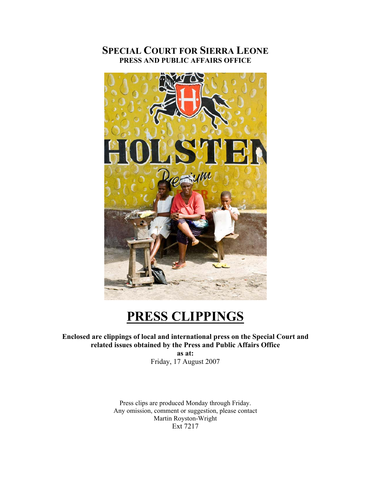# **SPECIAL COURT FOR SIERRA LEONE PRESS AND PUBLIC AFFAIRS OFFICE**



# **PRESS CLIPPINGS**

**Enclosed are clippings of local and international press on the Special Court and related issues obtained by the Press and Public Affairs Office** 

**as at:**  Friday, 17 August 2007

Press clips are produced Monday through Friday. Any omission, comment or suggestion, please contact Martin Royston-Wright Ext 7217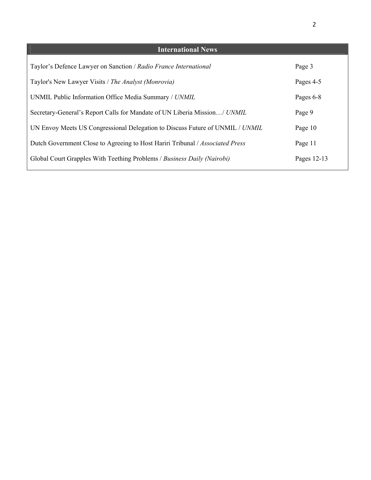| <b>International News</b>                                                     |             |
|-------------------------------------------------------------------------------|-------------|
| Taylor's Defence Lawyer on Sanction / Radio France International              | Page 3      |
| Taylor's New Lawyer Visits / The Analyst (Monrovia)                           | Pages 4-5   |
| UNMIL Public Information Office Media Summary / UNMIL                         | Pages 6-8   |
| Secretary-General's Report Calls for Mandate of UN Liberia Mission/ UNMIL     | Page 9      |
| UN Envoy Meets US Congressional Delegation to Discuss Future of UNMIL / UNMIL | Page 10     |
| Dutch Government Close to Agreeing to Host Hariri Tribunal / Associated Press | Page 11     |
| Global Court Grapples With Teething Problems / Business Daily (Nairobi)       | Pages 12-13 |
|                                                                               |             |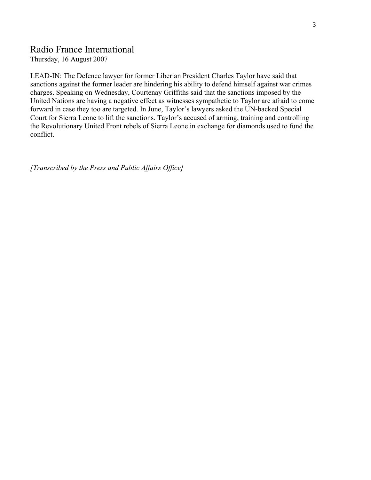# Radio France International

Thursday, 16 August 2007

LEAD-IN: The Defence lawyer for former Liberian President Charles Taylor have said that sanctions against the former leader are hindering his ability to defend himself against war crimes charges. Speaking on Wednesday, Courtenay Griffiths said that the sanctions imposed by the United Nations are having a negative effect as witnesses sympathetic to Taylor are afraid to come forward in case they too are targeted. In June, Taylor's lawyers asked the UN-backed Special Court for Sierra Leone to lift the sanctions. Taylor's accused of arming, training and controlling the Revolutionary United Front rebels of Sierra Leone in exchange for diamonds used to fund the conflict.

*[Transcribed by the Press and Public Affairs Office]*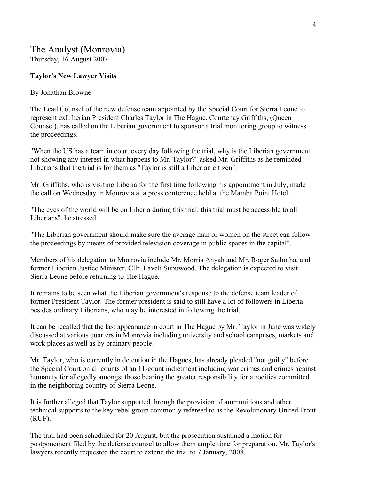# The Analyst (Monrovia)

Thursday, 16 August 2007

### **Taylor's New Lawyer Visits**

### By Jonathan Browne

The Lead Counsel of the new defense team appointed by the Special Court for Sierra Leone to represent exLiberian President Charles Taylor in The Hague, Courtenay Griffiths, (Queen Counsel), has called on the Liberian government to sponsor a trial monitoring group to witness the proceedings.

"When the US has a team in court every day following the trial, why is the Liberian government not showing any interest in what happens to Mr. Taylor?" asked Mr. Griffiths as he reminded Liberians that the trial is for them as "Taylor is still a Liberian citizen".

Mr. Griffiths, who is visiting Liberia for the first time following his appointment in July, made the call on Wednesday in Monrovia at a press conference held at the Mamba Point Hotel.

"The eyes of the world will be on Liberia during this trial; this trial must be accessible to all Liberians", he stressed.

"The Liberian government should make sure the average man or women on the street can follow the proceedings by means of provided television coverage in public spaces in the capital".

Members of his delegation to Monrovia include Mr. Morris Anyah and Mr. Roger Sathotha, and former Liberian Justice Minister, Cllr. Laveli Supuwood. The delegation is expected to visit Sierra Leone before returning to The Hague.

It remains to be seen what the Liberian government's response to the defense team leader of former President Taylor. The former president is said to still have a lot of followers in Liberia besides ordinary Liberians, who may be interested in following the trial.

It can be recalled that the last appearance in court in The Hague by Mr. Taylor in June was widely discussed at various quarters in Monrovia including university and school campuses, markets and work places as well as by ordinary people.

Mr. Taylor, who is currently in detention in the Hagues, has already pleaded "not guilty" before the Special Court on all counts of an 11-count indictment including war crimes and crimes against humanity for allegedly amongst those bearing the greater responsibility for atrocities committed in the neighboring country of Sierra Leone.

It is further alleged that Taylor supported through the provision of ammunitions and other technical supports to the key rebel group commonly refereed to as the Revolutionary United Front (RUF).

The trial had been scheduled for 20 August, but the prosecution sustained a motion for postponement filed by the defense counsel to allow them ample time for preparation. Mr. Taylor's lawyers recently requested the court to extend the trial to 7 January, 2008.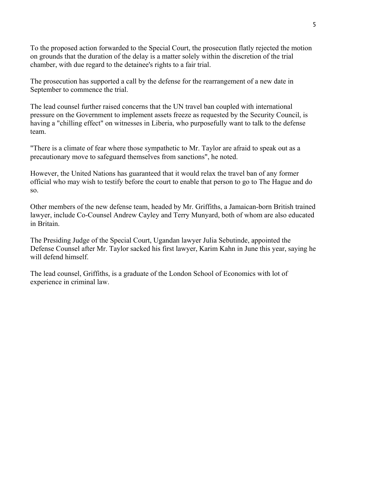To the proposed action forwarded to the Special Court, the prosecution flatly rejected the motion on grounds that the duration of the delay is a matter solely within the discretion of the trial chamber, with due regard to the detainee's rights to a fair trial.

The prosecution has supported a call by the defense for the rearrangement of a new date in September to commence the trial.

The lead counsel further raised concerns that the UN travel ban coupled with international pressure on the Government to implement assets freeze as requested by the Security Council, is having a "chilling effect" on witnesses in Liberia, who purposefully want to talk to the defense team.

"There is a climate of fear where those sympathetic to Mr. Taylor are afraid to speak out as a precautionary move to safeguard themselves from sanctions", he noted.

However, the United Nations has guaranteed that it would relax the travel ban of any former official who may wish to testify before the court to enable that person to go to The Hague and do so.

Other members of the new defense team, headed by Mr. Griffiths, a Jamaican-born British trained lawyer, include Co-Counsel Andrew Cayley and Terry Munyard, both of whom are also educated in Britain.

The Presiding Judge of the Special Court, Ugandan lawyer Julia Sebutinde, appointed the Defense Counsel after Mr. Taylor sacked his first lawyer, Karim Kahn in June this year, saying he will defend himself.

The lead counsel, Griffiths, is a graduate of the London School of Economics with lot of experience in criminal law.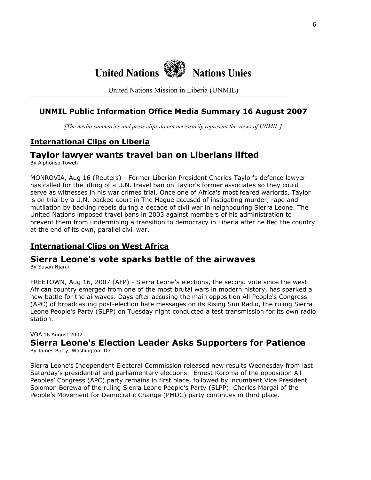

United Nations Mission in Liberia (UNMIL)

# **UNMIL Public Information Office Media Summary 16 August 2007**

*[The media summaries and press clips do not necessarily represent the views of UNMIL.]*

## **International Clips on Liberia**

# **Taylor lawyer wants travel ban on Liberians lifted**

By Alphonso Toweh

MONROVIA, Aug 16 (Reuters) - Former Liberian President Charles Taylor's defence lawyer has called for the lifting of a U.N. travel ban on Taylor's former associates so they could serve as witnesses in his war crimes trial. Once one of Africa's most feared warlords, Taylor is on trial by a U.N.-backed court in The Hague accused of instigating murder, rape and mutilation by backing rebels during a decade of civil war in neighbouring Sierra Leone. The United Nations imposed travel bans in 2003 against members of his administration to prevent them from undermining a transition to democracy in Liberia after he fled the country at the end of its own, parallel civil war.

# **International Clips on West Africa**

# **Sierra Leone's vote sparks battle of the airwaves**

By Susan Njanji

FREETOWN, Aug 16, 2007 (AFP) - Sierra Leone's elections, the second vote since the west African country emerged from one of the most brutal wars in modern history, has sparked a new battle for the airwaves. Days after accusing the main opposition All People's Congress (APC) of broadcasting post-election hate messages on its Rising Sun Radio, the ruling Sierra Leone People's Party (SLPP) on Tuesday night conducted a test transmission for its own radio station.

#### VOA 16 August 2007

**Sierra Leone's Election Leader Asks Supporters for Patience**

By James Butty, Washington, D.C.

Sierra Leone's Independent Electoral Commission released new results Wednesday from last Saturday's presidential and parliamentary elections. Ernest Koroma of the opposition All Peoples' Congress (APC) party remains in first place, followed by incumbent Vice President Solomon Berewa of the ruling Sierra Leone People's Party (SLPP). Charles Margai of the People's Movement for Democratic Change (PMDC) party continues in third place.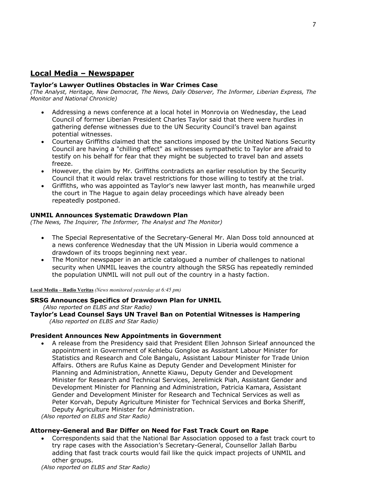### **Local Media – Newspaper**

#### **Taylor's Lawyer Outlines Obstacles in War Crimes Case**

*(The Analyst, Heritage, New Democrat, The News, Daily Observer, The Informer, Liberian Express, The Monitor and National Chronicle)* 

- Addressing a news conference at a local hotel in Monrovia on Wednesday, the Lead Council of former Liberian President Charles Taylor said that there were hurdles in gathering defense witnesses due to the UN Security Council's travel ban against potential witnesses.
- Courtenay Griffiths claimed that the sanctions imposed by the United Nations Security Council are having a "chilling effect" as witnesses sympathetic to Taylor are afraid to testify on his behalf for fear that they might be subjected to travel ban and assets freeze.
- However, the claim by Mr. Griffiths contradicts an earlier resolution by the Security Council that it would relax travel restrictions for those willing to testify at the trial.
- Griffiths, who was appointed as Taylor's new lawyer last month, has meanwhile urged the court in The Hague to again delay proceedings which have already been repeatedly postponed.

#### **UNMIL Announces Systematic Drawdown Plan**

*(The News, The Inquirer, The Informer, The Analyst and The Monitor)* 

- The Special Representative of the Secretary-General Mr. Alan Doss told announced at a news conference Wednesday that the UN Mission in Liberia would commence a drawdown of its troops beginning next year.
- The Monitor newspaper in an article catalogued a number of challenges to national security when UNMIL leaves the country although the SRSG has repeatedly reminded the population UNMIL will not pull out of the country in a hasty faction.

**Local Media – Radio Veritas** *(News monitored yesterday at 6:45 pm)* 

#### **SRSG Announces Specifics of Drawdown Plan for UNMIL**

 *(Also reported on ELBS and Star Radio)* 

**Taylor's Lead Counsel Says UN Travel Ban on Potential Witnesses is Hampering**   *(Also reported on ELBS and Star Radio)*

#### **President Announces New Appointments in Government**

• A release from the Presidency said that President Ellen Johnson Sirleaf announced the appointment in Government of Kehlebu Gongloe as Assistant Labour Minister for Statistics and Research and Cole Bangalu, Assistant Labour Minister for Trade Union Affairs. Others are Rufus Kaine as Deputy Gender and Development Minister for Planning and Administration, Annette Kiawu, Deputy Gender and Development Minister for Research and Technical Services, Jerelimick Piah, Assistant Gender and Development Minister for Planning and Administration, Patricia Kamara, Assistant Gender and Development Minister for Research and Technical Services as well as Peter Korvah, Deputy Agriculture Minister for Technical Services and Borka Sheriff, Deputy Agriculture Minister for Administration.

*(Also reported on ELBS and Star Radio)*

#### **Attorney-General and Bar Differ on Need for Fast Track Court on Rape**

• Correspondents said that the National Bar Association opposed to a fast track court to try rape cases with the Association's Secretary-General, Counsellor Jallah Barbu adding that fast track courts would fail like the quick impact projects of UNMIL and other groups.

*(Also reported on ELBS and Star Radio)*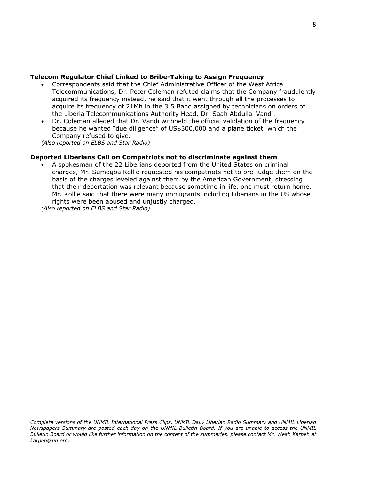#### **Telecom Regulator Chief Linked to Bribe-Taking to Assign Frequency**

- Correspondents said that the Chief Administrative Officer of the West Africa Telecommunications, Dr. Peter Coleman refuted claims that the Company fraudulently acquired its frequency instead, he said that it went through all the processes to acquire its frequency of 21Mh in the 3.5 Band assigned by technicians on orders of the Liberia Telecommunications Authority Head, Dr. Saah Abdullai Vandi.
- Dr. Coleman alleged that Dr. Vandi withheld the official validation of the frequency because he wanted "due diligence" of US\$300,000 and a plane ticket, which the Company refused to give.

*(Also reported on ELBS and Star Radio)* 

### **Deported Liberians Call on Compatriots not to discriminate against them**

• A spokesman of the 22 Liberians deported from the United States on criminal charges, Mr. Sumogba Kollie requested his compatriots not to pre-judge them on the basis of the charges leveled against them by the American Government, stressing that their deportation was relevant because sometime in life, one must return home. Mr. Kollie said that there were many immigrants including Liberians in the US whose rights were been abused and unjustly charged.

*(Also reported on ELBS and Star Radio)*

*Complete versions of the UNMIL International Press Clips, UNMIL Daily Liberian Radio Summary and UNMIL Liberian Newspapers Summary are posted each day on the UNMIL Bulletin Board. If you are unable to access the UNMIL Bulletin Board or would like further information on the content of the summaries, please contact Mr. Weah Karpeh at karpeh@un.org.*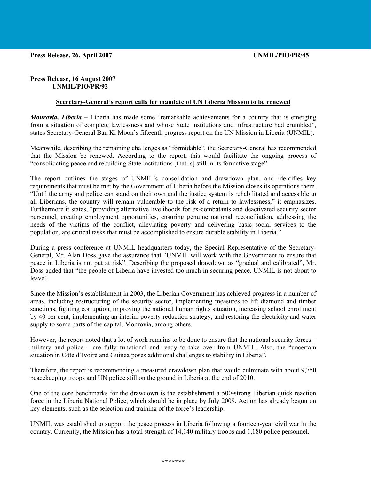#### **Press Release, 16 August 2007 UNMIL/PIO/PR/92**

#### **Secretary-General's report calls for mandate of UN Liberia Mission to be renewed**

*Monrovia, Liberia –* Liberia has made some "remarkable achievements for a country that is emerging from a situation of complete lawlessness and whose State institutions and infrastructure had crumbled", states Secretary-General Ban Ki Moon's fifteenth progress report on the UN Mission in Liberia (UNMIL).

Meanwhile, describing the remaining challenges as "formidable", the Secretary-General has recommended that the Mission be renewed. According to the report, this would facilitate the ongoing process of "consolidating peace and rebuilding State institutions [that is] still in its formative stage".

The report outlines the stages of UNMIL's consolidation and drawdown plan, and identifies key requirements that must be met by the Government of Liberia before the Mission closes its operations there. "Until the army and police can stand on their own and the justice system is rehabilitated and accessible to all Liberians, the country will remain vulnerable to the risk of a return to lawlessness," it emphasizes. Furthermore it states, "providing alternative livelihoods for ex-combatants and deactivated security sector personnel, creating employment opportunities, ensuring genuine national reconciliation, addressing the needs of the victims of the conflict, alleviating poverty and delivering basic social services to the population, are critical tasks that must be accomplished to ensure durable stability in Liberia."

During a press conference at UNMIL headquarters today, the Special Representative of the Secretary-General, Mr. Alan Doss gave the assurance that "UNMIL will work with the Government to ensure that peace in Liberia is not put at risk". Describing the proposed drawdown as "gradual and calibrated", Mr. Doss added that "the people of Liberia have invested too much in securing peace. UNMIL is not about to leave".

Since the Mission's establishment in 2003, the Liberian Government has achieved progress in a number of areas, including restructuring of the security sector, implementing measures to lift diamond and timber sanctions, fighting corruption, improving the national human rights situation, increasing school enrollment by 40 per cent, implementing an interim poverty reduction strategy, and restoring the electricity and water supply to some parts of the capital, Monrovia, among others.

However, the report noted that a lot of work remains to be done to ensure that the national security forces – military and police – are fully functional and ready to take over from UNMIL. Also, the "uncertain situation in Côte d'Ivoire and Guinea poses additional challenges to stability in Liberia".

Therefore, the report is recommending a measured drawdown plan that would culminate with about 9,750 peacekeeping troops and UN police still on the ground in Liberia at the end of 2010.

One of the core benchmarks for the drawdown is the establishment a 500-strong Liberian quick reaction force in the Liberia National Police, which should be in place by July 2009. Action has already begun on key elements, such as the selection and training of the force's leadership.

UNMIL was established to support the peace process in Liberia following a fourteen-year civil war in the country. Currently, the Mission has a total strength of 14,140 military troops and 1,180 police personnel.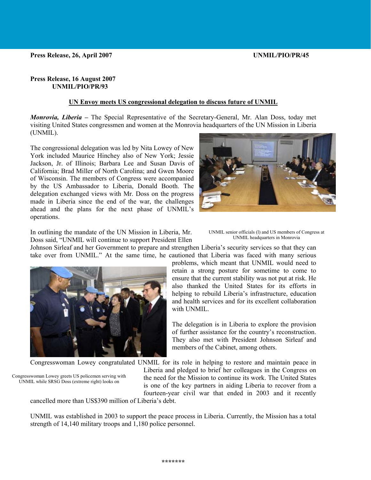#### **Press Release, 16 August 2007 UNMIL/PIO/PR/93**

#### **UN Envoy meets US congressional delegation to discuss future of UNMIL**

*Monrovia, Liberia –* The Special Representative of the Secretary-General, Mr. Alan Doss, today met visiting United States congressmen and women at the Monrovia headquarters of the UN Mission in Liberia (UNMIL).

The congressional delegation was led by Nita Lowey of New York included Maurice Hinchey also of New York; Jessie Jackson, Jr. of Illinois; Barbara Lee and Susan Davis of California; Brad Miller of North Carolina; and Gwen Moore of Wisconsin. The members of Congress were accompanied by the US Ambassador to Liberia, Donald Booth. The delegation exchanged views with Mr. Doss on the progress made in Liberia since the end of the war, the challenges ahead and the plans for the next phase of UNMIL's operations.



In outlining the mandate of the UN Mission in Liberia, Mr. Doss said, "UNMIL will continue to support President Ellen

UNMIL senior officials (l) and US members of Congress at UNMIL headquarters in Monrovia

Johnson Sirleaf and her Government to prepare and strengthen Liberia's security services so that they can take over from UNMIL." At the same time, he cautioned that Liberia was faced with many serious



problems, which meant that UNMIL would need to retain a strong posture for sometime to come to ensure that the current stability was not put at risk. He also thanked the United States for its efforts in helping to rebuild Liberia's infrastructure, education and health services and for its excellent collaboration with UNMIL.

The delegation is in Liberia to explore the provision of further assistance for the country's reconstruction. They also met with President Johnson Sirleaf and members of the Cabinet, among others.

Congresswoman Lowey congratulated UNMIL for its role in helping to restore and maintain peace in

Congresswoman Lowey greets US policemen serving with UNMIL while SRSG Doss (extreme right) looks on

Liberia and pledged to brief her colleagues in the Congress on the need for the Mission to continue its work. The United States is one of the key partners in aiding Liberia to recover from a fourteen-year civil war that ended in 2003 and it recently

cancelled more than US\$390 million of Liberia's debt.

UNMIL was established in 2003 to support the peace process in Liberia. Currently, the Mission has a total strength of 14,140 military troops and 1,180 police personnel.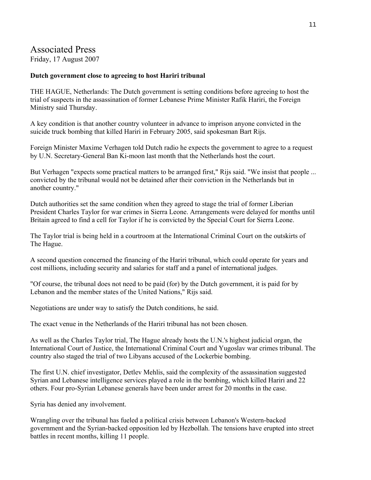# Associated Press

Friday, 17 August 2007

### **Dutch government close to agreeing to host Hariri tribunal**

THE HAGUE, Netherlands: The Dutch government is setting conditions before agreeing to host the trial of suspects in the assassination of former Lebanese Prime Minister Rafik Hariri, the Foreign Ministry said Thursday.

A key condition is that another country volunteer in advance to imprison anyone convicted in the suicide truck bombing that killed Hariri in February 2005, said spokesman Bart Rijs.

Foreign Minister Maxime Verhagen told Dutch radio he expects the government to agree to a request by U.N. Secretary-General Ban Ki-moon last month that the Netherlands host the court.

But Verhagen "expects some practical matters to be arranged first," Rijs said. "We insist that people ... convicted by the tribunal would not be detained after their conviction in the Netherlands but in another country."

Dutch authorities set the same condition when they agreed to stage the trial of former Liberian President Charles Taylor for war crimes in Sierra Leone. Arrangements were delayed for months until Britain agreed to find a cell for Taylor if he is convicted by the Special Court for Sierra Leone.

The Taylor trial is being held in a courtroom at the International Criminal Court on the outskirts of The Hague.

A second question concerned the financing of the Hariri tribunal, which could operate for years and cost millions, including security and salaries for staff and a panel of international judges.

"Of course, the tribunal does not need to be paid (for) by the Dutch government, it is paid for by Lebanon and the member states of the United Nations," Rijs said.

Negotiations are under way to satisfy the Dutch conditions, he said.

The exact venue in the Netherlands of the Hariri tribunal has not been chosen.

As well as the Charles Taylor trial, The Hague already hosts the U.N.'s highest judicial organ, the International Court of Justice, the International Criminal Court and Yugoslav war crimes tribunal. The country also staged the trial of two Libyans accused of the Lockerbie bombing.

The first U.N. chief investigator, Detlev Mehlis, said the complexity of the assassination suggested Syrian and Lebanese intelligence services played a role in the bombing, which killed Hariri and 22 others. Four pro-Syrian Lebanese generals have been under arrest for 20 months in the case.

Syria has denied any involvement.

Wrangling over the tribunal has fueled a political crisis between Lebanon's Western-backed government and the Syrian-backed opposition led by Hezbollah. The tensions have erupted into street battles in recent months, killing 11 people.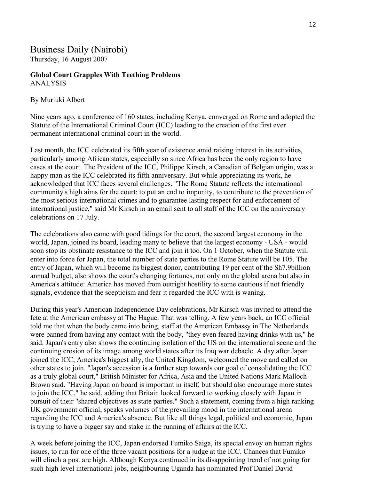# Business Daily (Nairobi)

Thursday, 16 August 2007

### **Global Court Grapples With Teething Problems** ANALYSIS

### By Muriuki Albert

Nine years ago, a conference of 160 states, including Kenya, converged on Rome and adopted the Statute of the International Criminal Court (ICC) leading to the creation of the first ever permanent international criminal court in the world.

Last month, the ICC celebrated its fifth year of existence amid raising interest in its activities, particularly among African states, especially so since Africa has been the only region to have cases at the court. The President of the ICC, Philippe Kirsch, a Canadian of Belgian origin, was a happy man as the ICC celebrated its fifth anniversary. But while appreciating its work, he acknowledged that ICC faces several challenges. "The Rome Statute reflects the international community's high aims for the court: to put an end to impunity, to contribute to the prevention of the most serious international crimes and to guarantee lasting respect for and enforcement of international justice," said Mr Kirsch in an email sent to all staff of the ICC on the anniversary celebrations on 17 July.

The celebrations also came with good tidings for the court, the second largest economy in the world, Japan, joined its board, leading many to believe that the largest economy - USA - would soon stop its obstinate resistance to the ICC and join it too. On 1 October, when the Statute will enter into force for Japan, the total number of state parties to the Rome Statute will be 105. The entry of Japan, which will become its biggest donor, contributing 19 per cent of the Sh7.9billion annual budget, also shows the court's changing fortunes, not only on the global arena but also in America's attitude: America has moved from outright hostility to some cautious if not friendly signals, evidence that the scepticism and fear it regarded the ICC with is waning.

During this year's American Independence Day celebrations, Mr Kirsch was invited to attend the fete at the American embassy at The Hague. That was telling. A few years back, an ICC official told me that when the body came into being, staff at the American Embassy in The Netherlands were banned from having any contact with the body, "they even feared having drinks with us," he said. Japan's entry also shows the continuing isolation of the US on the international scene and the continuing erosion of its image among world states after its Iraq war debacle. A day after Japan joined the ICC, America's biggest ally, the United Kingdom, welcomed the move and called on other states to join. "Japan's accession is a further step towards our goal of consolidating the ICC as a truly global court," British Minister for Africa, Asia and the United Nations Mark Malloch-Brown said. "Having Japan on board is important in itself, but should also encourage more states to join the ICC," he said, adding that Britain looked forward to working closely with Japan in pursuit of their "shared objectives as state parties." Such a statement, coming from a high ranking UK government official, speaks volumes of the prevailing mood in the international arena regarding the ICC and America's absence. But like all things legal, political and economic, Japan is trying to have a bigger say and stake in the running of affairs at the ICC.

A week before joining the ICC, Japan endorsed Fumiko Saiga, its special envoy on human rights issues, to run for one of the three vacant positions for a judge at the ICC. Chances that Fumiko will clinch a post are high. Although Kenya continued in its disappointing trend of not going for such high level international jobs, neighbouring Uganda has nominated Prof Daniel David